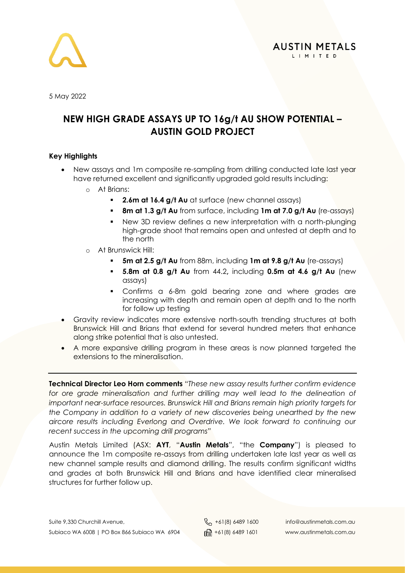

5 May 2022

### **NEW HIGH GRADE ASSAYS UP TO 16g/t AU SHOW POTENTIAL – AUSTIN GOLD PROJECT**

### **Key Highlights**

- New assays and 1m composite re-sampling from drilling conducted late last year have returned excellent and significantly upgraded gold results including:
	- o At Brians:
		- **2.6m at 16.4 g/t Au** at surface (new channel assays)
		- **8m at 1.3 g/t Au** from surface, including **1m at 7.0 g/t Au** (re-assays)
		- New 3D review defines a new interpretation with a north-plunging high-grade shoot that remains open and untested at depth and to the north
	- o At Brunswick Hill:
		- **5m at 2.5 g/t Au** from 88m, including **1m at 9.8 g/t Au** (re-assays)
		- **5.8m at 0.8 g/t Au** from 44.2**,** including **0.5m at 4.6 g/t Au** (new assays)
		- Confirms a 6-8m gold bearing zone and where grades are increasing with depth and remain open at depth and to the north for follow up testing
- Gravity review indicates more extensive north-south trending structures at both Brunswick Hill and Brians that extend for several hundred meters that enhance along strike potential that is also untested.
- A more expansive drilling program in these areas is now planned targeted the extensions to the mineralisation.

**Technical Director Leo Horn comments** "*These new assay results further confirm evidence*  for ore grade mineralisation and further drilling may well lead to the delineation of *important near-surface resources. Brunswick Hill and Brians remain high priority targets for the Company in addition to a variety of new discoveries being unearthed by the new aircore results including Everlong and Overdrive. We look forward to continuing our recent success in the upcoming drill programs"*

Austin Metals Limited (ASX: **AYT**, "**Austin Metals**", "the **Company**") is pleased to announce the 1m composite re-assays from drilling undertaken late last year as well as new channel sample results and diamond drilling. The results confirm significant widths and grades at both Brunswick Hill and Brians and have identified clear mineralised structures for further follow up.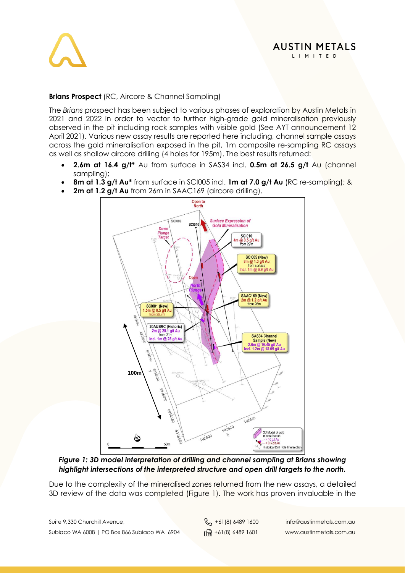

### **Brians Prospect** (RC, Aircore & Channel Sampling)

The *Brians* prospect has been subject to various phases of exploration by Austin Metals in 2021 and 2022 in order to vector to further high-grade gold mineralisation previously observed in the pit including rock samples with visible gold (See AYT announcement 12 April 2021). Various new assay results are reported here including, channel sample assays across the gold mineralisation exposed in the pit, 1m composite re-sampling RC assays as well as shallow aircore drilling (4 holes for 195m). The best results returned:

- **2.6m at 16.4 g/t\*** Au from surface in SAS34 incl. **0.5m at 26.5 g/t** Au (channel sampling);
- **8m at 1.3 g/t Au\*** from surface in SCI005 incl. **1m at 7.0 g/t Au** (RC re-sampling); &
- 2m at 1.2 g/t Au from 26m in SAAC169 (aircore drilling).



*Figure 1: 3D model interpretation of drilling and channel sampling at Brians showing highlight intersections of the interpreted structure and open drill targets to the north.*

Due to the complexity of the mineralised zones returned from the new assays, a detailed 3D review of the data was completed (Figure 1). The work has proven invaluable in the

Suite 9,330 Churchill Avenue,  $\begin{matrix}8 \\ 101 \end{matrix}$  +61(8) 6489 1600 info@austinmetals.com.au Subiaco WA 6008 | PO Box 866 Subiaco WA 6904  $\lim_{\theta \to 0} +61(8)$  6489 1601 www.austinmetals.com.au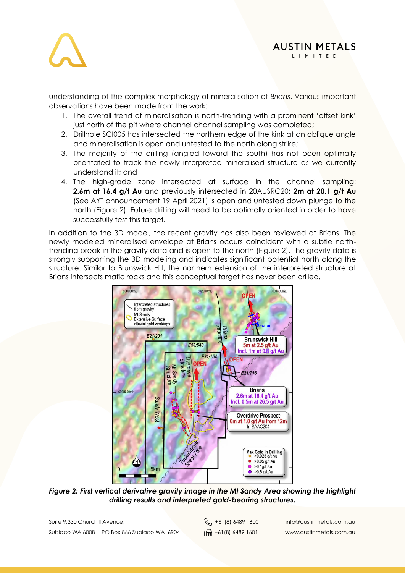

**AUSTIN METALS** LIMITED

understanding of the complex morphology of mineralisation at *Brians*. Various important observations have been made from the work:

- 1. The overall trend of mineralisation is north-trending with a prominent 'offset kink' just north of the pit where channel channel sampling was completed;
- 2. Drillhole SCI005 has intersected the northern edge of the kink at an oblique angle and mineralisation is open and untested to the north along strike;
- 3. The majority of the drilling (angled toward the south) has not been optimally orientated to track the newly interpreted mineralised structure as we currently understand it; and
- 4. The high-grade zone intersected at surface in the channel sampling: **2.6m at 16.4 g/t Au** and previously intersected in 20AUSRC20: **2m at 20.1 g/t Au** (See AYT announcement 19 April 2021) is open and untested down plunge to the north (Figure 2). Future drilling will need to be optimally oriented in order to have successfully test this taraet.

In addition to the 3D model, the recent gravity has also been reviewed at Brians. The newly modeled mineralised envelope at Brians occurs coincident with a subtle northtrending break in the gravity data and is open to the north (Figure 2). The gravity data is strongly supporting the 3D modeling and indicates significant potential north along the structure. Similar to Brunswick Hill, the northern extension of the interpreted structure at Brians intersects mafic rocks and this conceptual target has never been drilled.



*Figure 2: First vertical derivative gravity image in the Mt Sandy Area showing the highlight drilling results and interpreted gold-bearing structures.*

Suite 9,330 Churchill Avenue,  $\begin{matrix}8 \\ 1 \end{matrix}$  +61(8) 6489 1600 info@austinmetals.com.au Subiaco WA 6008 | PO Box 866 Subiaco WA 6904  $\lim_{\theta \to 0} +61(8)$  6489 1601 www.austinmetals.com.au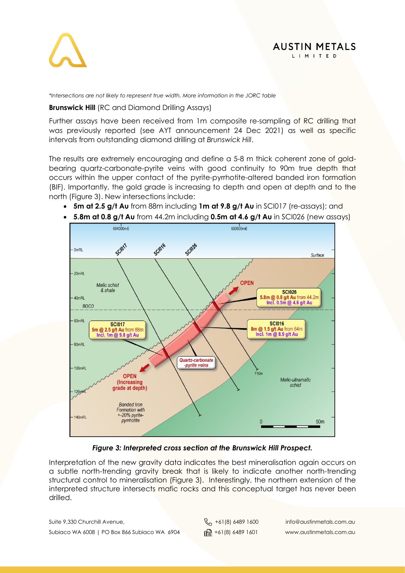

### **AUSTIN METALS** LIMITED

*\*Intersections are not likely to represent true width. More information in the JORC table*

### **Brunswick Hill** (RC and Diamond Drilling Assays)

Further assays have been received from 1m composite re-sampling of RC drilling that was previously reported (see AYT announcement 24 Dec 2021) as well as specific intervals from outstanding diamond drilling at *Brunswick Hill*.

The results are extremely encouraging and define a 5-8 m thick coherent zone of goldbearing quartz-carbonate-pyrite veins with good continuity to 90m true depth that occurs within the upper contact of the pyrite-pyrrhotite-altered banded iron formation (BIF). Importantly, the gold grade is increasing to depth and open at depth and to the north (Figure 3). New intersections include:

- **5m at 2.5 g/t Au** from 88m including **1m at 9.8 g/t Au** in SCI017 (re-assays); and
- **5.8m at 0.8 g/t Au** from 44.2m including **0.5m at 4.6 g/t Au** in SCI026 (new assays)



*Figure 3: Interpreted cross section at the Brunswick Hill Prospect.*

Interpretation of the new gravity data indicates the best mineralisation again occurs on a subtle north-trending gravity break that is likely to indicate another north-trending structural control to mineralisation (Figure 3). Interestingly, the northern extension of the interpreted structure intersects mafic rocks and this conceptual target has never been drilled.

Suite 9,330 Churchill Avenue,  $\begin{matrix}8 \\ 1 \end{matrix}$  +61(8) 6489 1600 info@austinmetals.com.au Subiaco WA 6008 | PO Box 866 Subiaco WA 6904  $\lim_{\theta \to 0} +61(8)$  6489 1601 www.austinmetals.com.au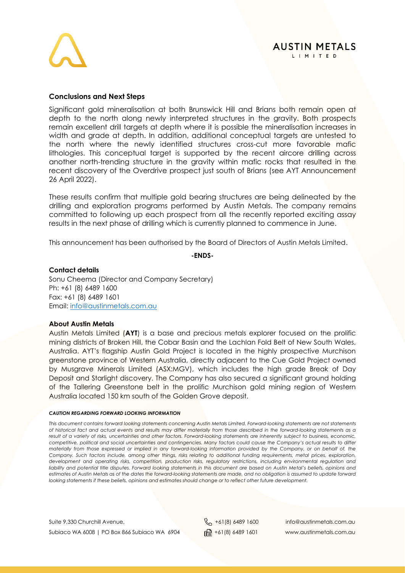

### **AUSTIN METALS** LIMITED

### **Conclusions and Next Steps**

Significant gold mineralisation at both Brunswick Hill and Brians both remain open at depth to the north along newly interpreted structures in the gravity. Both prospects remain excellent drill targets at depth where it is possible the mineralisation increases in width and grade at depth. In addition, additional conceptual targets are untested to the north where the newly identified structures cross-cut more favorable mafic lithologies. This conceptual target is supported by the recent aircore drilling across another north-trending structure in the gravity within mafic rocks that resulted in the recent discovery of the Overdrive prospect just south of Brians (see AYT Announcement 26 April 2022).

These results confirm that multiple gold bearing structures are being delineated by the drilling and exploration programs performed by Austin Metals. The company remains committed to following up each prospect from all the recently reported exciting assay results in the next phase of drilling which is currently planned to commence in June.

This announcement has been authorised by the Board of Directors of Austin Metals Limited.

**-ENDS-**

**Contact details** Sonu Cheema (Director and Company Secretary) Ph: +61 (8) 6489 1600 Fax: +61 (8) 6489 1601 Email: [info@austinmetals.com.au](mailto:info@austinmetals.com.au) 

### **About Austin Metals**

Austin Metals Limited (**AYT**) is a base and precious metals explorer focused on the prolific mining districts of Broken Hill, the Cobar Basin and the Lachlan Fold Belt of New South Wales, Australia. AYT's flagship Austin Gold Project is located in the highly prospective Murchison greenstone province of Western Australia, directly adjacent to the Cue Gold Project owned by Musgrave Minerals Limited (ASX:MGV), which includes the high grade Break of Day Deposit and Starlight discovery. The Company has also secured a significant ground holding of the Tallering Greenstone belt in the prolific Murchison gold mining region of Western Australia located 150 km south of the Golden Grove deposit.

### *CAUTION REGARDING FORWARD LOOKING INFORMATION*

*This document contains forward looking statements concerning Austin Metals Limited. Forward-looking statements are not statements of historical fact and actual events and results may differ materially from those described in the forward-looking statements as a result of a variety of risks, uncertainties and other factors. Forward-looking statements are inherently subject to business, economic, competitive, political and social uncertainties and contingencies. Many factors could cause the Company's actual results to differ materially from those expressed or implied in any forward-looking information provided by the Company, or on behalf of, the Company. Such factors include, among other things, risks relating to additional funding requirements, metal prices, exploration, development and operating risks, competition, production risks, regulatory restrictions, including environmental regulation and*  liability and potential title disputes. Forward looking statements in this document are based on Austin Metal's beliefs, opinions and *estimates of Austin Metals as of the dates the forward-looking statements are made, and no obligation is assumed to update forward looking statements if these beliefs, opinions and estimates should change or to reflect other future development.*

Suite 9,330 Churchill Avenue,  $\begin{matrix}8 \\ 1 \end{matrix}$  +61(8) 6489 1600 info@austinmetals.com.au Subiaco WA 6008 | PO Box 866 Subiaco WA 6904  $\lim_{n \to \infty} +61(8)$  6489 1601 www.austinmetals.com.au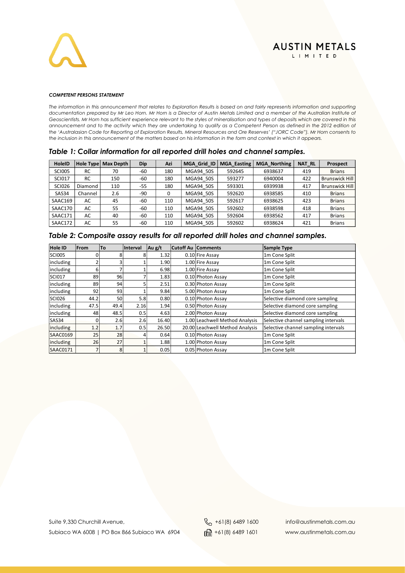

### *COMPETENT PERSONS STATEMENT*

*The information in this announcement that relates to Exploration Results is based on and fairly represents information and supporting documentation prepared by Mr Leo Horn. Mr Horn is a Director of Austin Metals Limited and a member of the Australian Institute of Geoscientists. Mr Horn has sufficient experience relevant to the styles of mineralisation and types of deposits which are covered in this announcement and to the activity which they are undertaking to qualify as a Competent Person as defined in the 2012 edition of the 'Australasian Code for Reporting of Exploration Results, Mineral Resources and Ore Reserves' ("JORC Code"). Mr Horn consents to the inclusion in this announcement of the matters based on his information in the form and context in which it appears.*

|  |  |  |  |  |  |  |  |  |  |  | Table 1: Collar information for all reported drill holes and channel samples. |  |  |
|--|--|--|--|--|--|--|--|--|--|--|-------------------------------------------------------------------------------|--|--|
|--|--|--|--|--|--|--|--|--|--|--|-------------------------------------------------------------------------------|--|--|

| <b>HoleID</b> | Hole Type | Max Depth | Dip   | Azi | MGA Grid ID | <b>MGA Easting</b> | <b>MGA Northing</b> | <b>NAT RL</b> | Prospect              |
|---------------|-----------|-----------|-------|-----|-------------|--------------------|---------------------|---------------|-----------------------|
| <b>SCI005</b> | <b>RC</b> | 70        | -60   | 180 | MGA94 50S   | 592645             | 6938637             | 419           | <b>Brians</b>         |
| <b>SCI017</b> | <b>RC</b> | 150       | -60   | 180 | MGA94 50S   | 593277             | 6940004             | 422           | <b>Brunswick Hill</b> |
| <b>SCI026</b> | Diamond   | 110       | $-55$ | 180 | MGA94 50S   | 593301             | 6939938             | 417           | <b>Brunswick Hill</b> |
| SAS34         | Channel   | 2.6       | -90   | 0   | MGA94 50S   | 592620             | 6938585             | 410           | <b>Brians</b>         |
| SAAC169       | AC        | 45        | -60   | 110 | MGA94 50S   | 592617             | 6938625             | 423           | <b>Brians</b>         |
| SAAC170       | AC        | 55        | -60   | 110 | MGA94 50S   | 592602             | 6938598             | 418           | <b>Brians</b>         |
| SAAC171       | AC        | 40        | -60   | 110 | MGA94 50S   | 592604             | 6938562             | 417           | <b>Brians</b>         |
| SAAC172       | AC        | 55        | -60   | 110 | MGA94 50S   | 592602             | 6938624             | 421           | <b>Brians</b>         |

|  |  |  | Table 2: Composite assay results for all reported drill holes and channel samples. |
|--|--|--|------------------------------------------------------------------------------------|
|--|--|--|------------------------------------------------------------------------------------|

| <b>Hole ID</b> | From | To   | Interval | Au g/t | <b>Cutoff Au Comments</b>       | <b>Sample Type</b>                   |
|----------------|------|------|----------|--------|---------------------------------|--------------------------------------|
| SCIOO5         |      | ጸ    |          | 1.32   | 0.10 Fire Assay                 | 1m Cone Split                        |
| including      |      |      |          | 1.90   | 1.00 Fire Assay                 | 1m Cone Split                        |
| including      | ь    |      |          | 6.98   | 1.00 Fire Assay                 | 1m Cone Split                        |
| SCI017         | 89   | 96   |          | 1.83   | 0.10 Photon Assay               | 1m Cone Split                        |
| including      | 89   | 94   |          | 2.51   | 0.30 Photon Assay               | 1m Cone Split                        |
| including      | 92   | 93   |          | 9.84   | 5.00 Photon Assay               | 1m Cone Split                        |
| SCI026         | 44.2 | 50   | 5.8      | 0.80   | 0.10 Photon Assay               | Selective diamond core sampling      |
| including      | 47.5 | 49.4 | 2.16     | 1.94   | 0.50 Photon Assay               | Selective diamond core sampling      |
| including      | 48   | 48.5 | 0.5      | 4.63   | 2.00 Photon Assay               | Selective diamond core sampling      |
| <b>SAS34</b>   |      | 2.6  | 2.6      | 16.40  | 1.00 Leachwell Method Analysis  | Selective channel sampling intervals |
| including      | 1.2  | 1.7  | 0.5      | 26.50  | 20.00 Leachwell Method Analysis | Selective channel sampling intervals |
| SAAC0169       | 25   | 28   |          | 0.64   | 0.10 Photon Assay               | 1m Cone Split                        |
| including      | 26   | 27   |          | 1.88   | 1.00 Photon Assay               | 1m Cone Split                        |
| SAAC0171       |      | 8    |          | 0.05   | 0.05 Photon Assay               | 1m Cone Split                        |

Suite 9,330 Churchill Avenue, <br>
Suite 9,330 Churchill Avenue,  $\& +61(8) 6489 1600$ info@austinmetals.com.au Subiaco WA 6008 | PO Box 866 Subiaco WA 6904 | 161 | 161 | 6489 1601 | www.austinmetals.com.au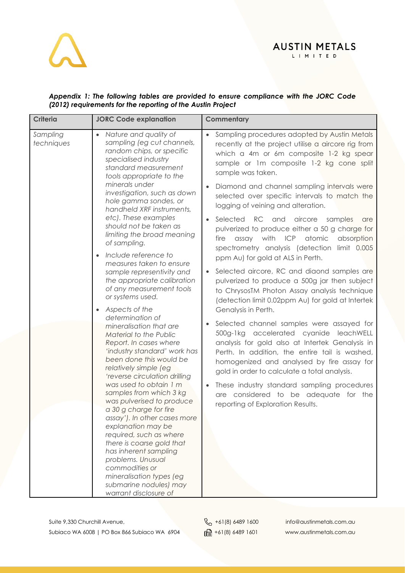### **AUSTIN METALS** L I M I T E D

### *Appendix 1: The following tables are provided to ensure compliance with the JORC Code (2012) requirements for the reporting of the Austin Project*

| <b>Criteria</b>        | <b>JORC Code explanation</b>                                                                                                                                                                                                                                                                                                                                                                                                                                                                                                                                                                                                                                                                                                                                                        | Commentary                                                                                                                                                                                                                                                                                                                                                                                                                                                                                                                                                                                                                                                                                                                                                                                                                                                                                                                                                                                                                                                                                                                              |
|------------------------|-------------------------------------------------------------------------------------------------------------------------------------------------------------------------------------------------------------------------------------------------------------------------------------------------------------------------------------------------------------------------------------------------------------------------------------------------------------------------------------------------------------------------------------------------------------------------------------------------------------------------------------------------------------------------------------------------------------------------------------------------------------------------------------|-----------------------------------------------------------------------------------------------------------------------------------------------------------------------------------------------------------------------------------------------------------------------------------------------------------------------------------------------------------------------------------------------------------------------------------------------------------------------------------------------------------------------------------------------------------------------------------------------------------------------------------------------------------------------------------------------------------------------------------------------------------------------------------------------------------------------------------------------------------------------------------------------------------------------------------------------------------------------------------------------------------------------------------------------------------------------------------------------------------------------------------------|
| Sampling<br>techniques | Nature and quality of<br>$\bullet$<br>sampling (eg cut channels,<br>random chips, or specific<br>specialised industry<br>standard measurement<br>tools appropriate to the<br>minerals under<br>investigation, such as down<br>hole gamma sondes, or<br>handheld XRF instruments,<br>etc). These examples<br>should not be taken as<br>limiting the broad meaning<br>of sampling.<br>Include reference to<br>$\bullet$<br>measures taken to ensure<br>sample representivity and<br>the appropriate calibration<br>of any measurement tools<br>or systems used.<br>Aspects of the<br>$\bullet$<br>determination of<br>mineralisation that are<br>Material to the Public<br>Report. In cases where<br>'industry standard' work has<br>been done this would be<br>relatively simple (eg | Sampling procedures adopted by Austin Metals<br>$\bullet$<br>recently at the project utilise a aircore rig from<br>which a 4m or 6m composite 1-2 kg spear<br>sample or 1m composite 1-2 kg cone split<br>sample was taken.<br>Diamond and channel sampling intervals were<br>selected over specific intervals to match the<br>logging of veining and alteration.<br>Selected RC and aircore<br>samples<br>are<br>pulverized to produce either a 50 g charge for<br>assay with ICP atomic<br>fire<br>absorption<br>spectrometry analysis (detection limit 0.005<br>ppm Au) for gold at ALS in Perth.<br>Selected aircore, RC and diaond samples are<br>$\bullet$<br>pulverized to produce a 500g jar then subject<br>to ChrysosTM Photon Assay analysis technique<br>(detection limit 0.02ppm Au) for gold at Intertek<br>Genalysis in Perth.<br>Selected channel samples were assayed for<br>500g-1kg accelerated cyanide leachWELL<br>analysis for gold also at Intertek Genalysis in<br>Perth. In addition, the entire tail is washed,<br>homogenized and analysed by fire assay for<br>gold in order to calculate a total analysis. |
|                        | 'reverse circulation drilling<br>was used to obtain 1 m<br>samples from which 3 kg<br>was pulverised to produce<br>a 30 g charge for fire<br>assay'). In other cases more<br>explanation may be<br>required, such as where<br>there is coarse gold that<br>has inherent sampling<br>problems. Unusual<br>commodities or<br>mineralisation types (eg<br>submarine nodules) may<br>warrant disclosure of                                                                                                                                                                                                                                                                                                                                                                              | These industry standard sampling procedures<br>$\bullet$<br>are considered to be adequate for the<br>reporting of Exploration Results.                                                                                                                                                                                                                                                                                                                                                                                                                                                                                                                                                                                                                                                                                                                                                                                                                                                                                                                                                                                                  |

Suite 9,330 Churchill Avenue, <br>
Suite 9,330 Churchill Avenue,  $\& +61(8)$  6489 1600 info@austinmetals.com.au Subiaco WA 6008 | PO Box 866 Subiaco WA 6904  $\frac{1}{\ln 2}$  +61(8) 6489 1601 www.austinmetals.com.au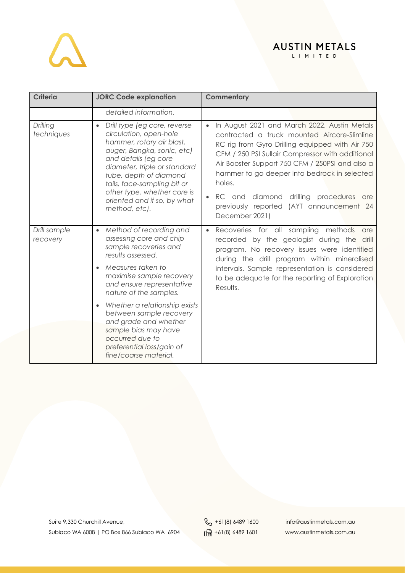

| <b>Criteria</b>          | <b>JORC Code explanation</b>                                                                                                                                                                                                                                                                                                   | Commentary                                                                                                                                                                                                                                                                                                                                                                                                                           |
|--------------------------|--------------------------------------------------------------------------------------------------------------------------------------------------------------------------------------------------------------------------------------------------------------------------------------------------------------------------------|--------------------------------------------------------------------------------------------------------------------------------------------------------------------------------------------------------------------------------------------------------------------------------------------------------------------------------------------------------------------------------------------------------------------------------------|
|                          | detailed information.                                                                                                                                                                                                                                                                                                          |                                                                                                                                                                                                                                                                                                                                                                                                                                      |
| Drilling<br>techniques   | Drill type (eg core, reverse<br>$\bullet$<br>circulation, open-hole<br>hammer, rotary air blast,<br>auger, Bangka, sonic, etc)<br>and details (eg core<br>diameter, triple or standard<br>tube, depth of diamond<br>tails, face-sampling bit or<br>other type, whether core is<br>oriented and if so, by what<br>method, etc). | In August 2021 and March 2022, Austin Metals<br>$\bullet$<br>contracted a truck mounted Aircore-Slimline<br>RC rig from Gyro Drilling equipped with Air 750<br>CFM / 250 PSI Sullair Compressor with additional<br>Air Booster Support 750 CFM / 250PSI and also a<br>hammer to go deeper into bedrock in selected<br>holes.<br>RC and diamond drilling procedures are<br>previously reported (AYT announcement 24<br>December 2021) |
| Drill sample<br>recovery | Method of recording and<br>$\bullet$<br>assessing core and chip<br>sample recoveries and<br>results assessed.<br>Measures taken to<br>maximise sample recovery<br>and ensure representative                                                                                                                                    | Recoveries for all sampling methods are<br>$\bullet$<br>recorded by the geologist during the drill<br>program. No recovery issues were identified<br>during the drill program within mineralised<br>intervals. Sample representation is considered<br>to be adequate for the reporting of Exploration<br>$D_{\bigcap C_1}$ , $H_C$                                                                                                   |

| and ensure representance<br>nature of the samples.                                                                                                                                 | Results. |
|------------------------------------------------------------------------------------------------------------------------------------------------------------------------------------|----------|
| Whether a relationship exists<br>between sample recovery<br>and grade and whether<br>sample bias may have<br>occurred due to<br>preferential loss/gain of<br>fine/coarse material. |          |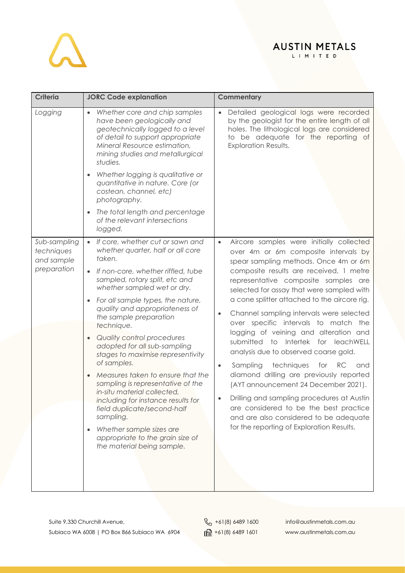# $\lambda$

## AUSTIN METALS

| <b>Criteria</b>                                         | <b>JORC Code explanation</b>                                                                                                                                                                                                                                                                                                                                                                                                                                                                                | <b>Commentary</b>                                                                                                                                                                                                                                                                                                                                                                                                                                                                                                                                    |
|---------------------------------------------------------|-------------------------------------------------------------------------------------------------------------------------------------------------------------------------------------------------------------------------------------------------------------------------------------------------------------------------------------------------------------------------------------------------------------------------------------------------------------------------------------------------------------|------------------------------------------------------------------------------------------------------------------------------------------------------------------------------------------------------------------------------------------------------------------------------------------------------------------------------------------------------------------------------------------------------------------------------------------------------------------------------------------------------------------------------------------------------|
| Logging                                                 | Whether core and chip samples<br>$\bullet$<br>have been geologically and<br>geotechnically logged to a level<br>of detail to support appropriate<br>Mineral Resource estimation,<br>mining studies and metallurgical<br>studies.                                                                                                                                                                                                                                                                            | Detailed geological logs were recorded<br>by the geologist for the entire length of all<br>holes. The lithological logs are considered<br>to be adequate for the reporting of<br><b>Exploration Results.</b>                                                                                                                                                                                                                                                                                                                                         |
|                                                         | Whether logging is qualitative or<br>$\bullet$<br>quantitative in nature. Core (or<br>costean, channel, etc)<br>photography.                                                                                                                                                                                                                                                                                                                                                                                |                                                                                                                                                                                                                                                                                                                                                                                                                                                                                                                                                      |
|                                                         | The total length and percentage<br>$\bullet$<br>of the relevant intersections<br>logged.                                                                                                                                                                                                                                                                                                                                                                                                                    |                                                                                                                                                                                                                                                                                                                                                                                                                                                                                                                                                      |
| Sub-sampling<br>techniques<br>and sample<br>preparation | If core, whether cut or sawn and<br>$\bullet$<br>whether quarter, half or all core<br>taken.<br>If non-core, whether riffled, tube<br>sampled, rotary split, etc and<br>whether sampled wet or dry.<br>For all sample types, the nature,<br>$\bullet$                                                                                                                                                                                                                                                       | Aircore samples were initially collected<br>$\bullet$<br>over 4m or 6m composite intervals by<br>spear sampling methods. Once 4m or 6m<br>composite results are received, 1 metre<br>representative composite samples are<br>selected for assay that were sampled with<br>a cone splitter attached to the aircore rig.                                                                                                                                                                                                                               |
|                                                         | quality and appropriateness of<br>the sample preparation<br>technique.<br>Quality control procedures<br>$\bullet$<br>adopted for all sub-sampling<br>stages to maximise representivity<br>of samples.<br>Measures taken to ensure that the<br>sampling is representative of the<br>in-situ material collected,<br>including for instance results for<br>field duplicate/second-half<br>sampling.<br>Whether sample sizes are<br>$\bullet$<br>appropriate to the grain size of<br>the material being sample. | Channel sampling intervals were selected<br>$\bullet$<br>over specific intervals to match the<br>logging of veining and alteration and<br>submitted to Intertek for leachWELL<br>analysis due to observed coarse gold.<br>Sampling<br>techniques<br>for<br>RC<br>and<br>$\bullet$<br>diamond drilling are previously reported<br>(AYT announcement 24 December 2021).<br>Drilling and sampling procedures at Austin<br>are considered to be the best practice<br>and are also considered to be adequate<br>for the reporting of Exploration Results. |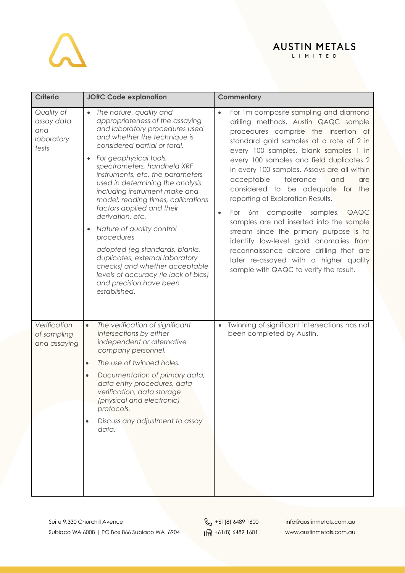| <b>Criteria</b>                                        | <b>JORC Code explanation</b>                                                                                                                                                                                                                                                                                                                                                                                                                                                                                                                                                                                                                                                           | Commentary                                                                                                                                                                                                                                                                                                                                                                                                                                                                                                                                                                                                                                                                                                                                          |
|--------------------------------------------------------|----------------------------------------------------------------------------------------------------------------------------------------------------------------------------------------------------------------------------------------------------------------------------------------------------------------------------------------------------------------------------------------------------------------------------------------------------------------------------------------------------------------------------------------------------------------------------------------------------------------------------------------------------------------------------------------|-----------------------------------------------------------------------------------------------------------------------------------------------------------------------------------------------------------------------------------------------------------------------------------------------------------------------------------------------------------------------------------------------------------------------------------------------------------------------------------------------------------------------------------------------------------------------------------------------------------------------------------------------------------------------------------------------------------------------------------------------------|
| Quality of<br>assay data<br>and<br>laboratory<br>tests | • The nature, quality and<br>appropriateness of the assaying<br>and laboratory procedures used<br>and whether the technique is<br>considered partial or total.<br>For geophysical tools,<br>$\bullet$<br>spectrometers, handheld XRF<br>instruments, etc, the parameters<br>used in determining the analysis<br>including instrument make and<br>model, reading times, calibrations<br>factors applied and their<br>derivation, etc.<br>Nature of quality control<br>$\bullet$<br>procedures<br>adopted (eg standards, blanks,<br>duplicates, external laboratory<br>checks) and whether acceptable<br>levels of accuracy (ie lack of bias)<br>and precision have been<br>established. | For 1m composite sampling and diamond<br>$\bullet$<br>drilling methods, Austin QAQC sample<br>procedures comprise the insertion of<br>standard gold samples at a rate of 2 in<br>every 100 samples, blank samples 1 in<br>every 100 samples and field duplicates 2<br>in every 100 samples. Assays are all within<br>acceptable<br>tolerance<br>and<br>are<br>considered to be adequate for the<br>reporting of Exploration Results.<br>For 6m composite samples, QAQC<br>$\bullet$<br>samples are not inserted into the sample<br>stream since the primary purpose is to<br>identify low-level gold anomalies from<br>reconnaissance aircore drilling that are<br>later re-assayed with a higher quality<br>sample with QAQC to verify the result. |
| Verification<br>of sampling<br>and assaying            | The verification of significant<br>$\bullet$<br>intersections by either<br>independent or alternative<br>company personnel.<br>The use of twinned holes.<br>$\bullet$<br>Documentation of primary data,<br>data entry procedures, data<br>verification, data storage<br>(physical and electronic)<br>protocols.<br>Discuss any adjustment to assay<br>$\bullet$<br>data.                                                                                                                                                                                                                                                                                                               | Twinning of significant intersections has not<br>been completed by Austin.                                                                                                                                                                                                                                                                                                                                                                                                                                                                                                                                                                                                                                                                          |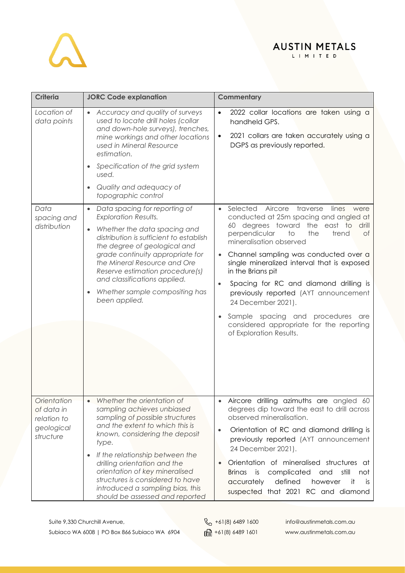# $\Delta$

## AUSTIN METALS

| <b>Criteria</b>                                                     | <b>JORC Code explanation</b>                                                                                                                                                                                                                                                                                                                                                                             | Commentary                                                                                                                                                                                                                                                                                                                                                                                                                                                                                                                                                                    |
|---------------------------------------------------------------------|----------------------------------------------------------------------------------------------------------------------------------------------------------------------------------------------------------------------------------------------------------------------------------------------------------------------------------------------------------------------------------------------------------|-------------------------------------------------------------------------------------------------------------------------------------------------------------------------------------------------------------------------------------------------------------------------------------------------------------------------------------------------------------------------------------------------------------------------------------------------------------------------------------------------------------------------------------------------------------------------------|
| Location of<br>data points                                          | • Accuracy and quality of surveys<br>used to locate drill holes (collar<br>and down-hole surveys), trenches,<br>mine workings and other locations<br>used in Mineral Resource<br>estimation.<br>Specification of the grid system<br>$\bullet$<br>used.<br>Quality and adequacy of<br>$\bullet$<br>topographic control                                                                                    | 2022 collar locations are taken using a<br>$\bullet$<br>handheld GPS.<br>2021 collars are taken accurately using a<br>$\bullet$<br>DGPS as previously reported.                                                                                                                                                                                                                                                                                                                                                                                                               |
| Data<br>spacing and<br>distribution                                 | Data spacing for reporting of<br>$\bullet$<br><b>Exploration Results.</b><br>Whether the data spacing and<br>$\bullet$<br>distribution is sufficient to establish<br>the degree of geological and<br>grade continuity appropriate for<br>the Mineral Resource and Ore<br>Reserve estimation procedure(s)<br>and classifications applied.<br>Whether sample compositing has<br>$\bullet$<br>been applied. | Selected<br>Aircore<br>traverse<br>lines<br>were<br>$\bullet$<br>conducted at 25m spacing and angled at<br>60 degrees toward the east to<br>drill<br>perpendicular<br>$\overline{1}$<br>the<br>trend<br>of<br>mineralisation observed<br>Channel sampling was conducted over a<br>single mineralized interval that is exposed<br>in the Brians pit<br>Spacing for RC and diamond drilling is<br>previously reported (AYT announcement<br>24 December 2021).<br>Sample spacing and<br>procedures<br>are<br>considered appropriate for the reporting<br>of Exploration Results. |
| Orientation<br>of data in<br>relation to<br>geological<br>structure | Whether the orientation of<br>sampling achieves unbiased<br>sampling of possible structures<br>and the extent to which this is<br>known, considering the deposit<br>type.<br>If the relationship between the<br>$\bullet$<br>drilling orientation and the<br>orientation of key mineralised<br>structures is considered to have<br>introduced a sampling bias, this<br>should be assessed and reported   | Aircore drilling azimuths are angled 60<br>degrees dip toward the east to drill across<br>observed mineralisation.<br>Orientation of RC and diamond drilling is<br>previously reported (AYT announcement<br>24 December 2021).<br>Orientation of mineralised structures at<br><b>Brinas</b><br>is<br>complicated<br>still<br>and<br>not<br>defined<br>accurately<br>however<br>it<br>is.<br>suspected that 2021 RC and diamond                                                                                                                                                |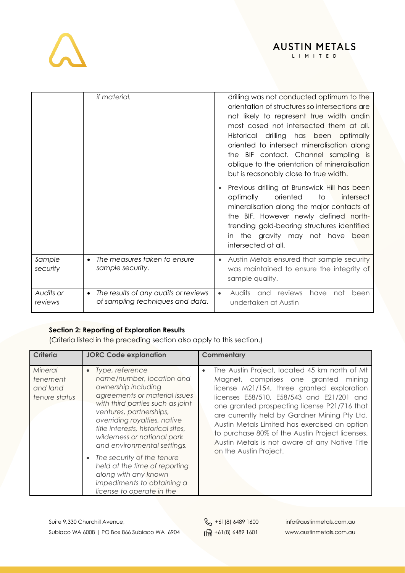

LIMITED

|                      | <i>if material.</i>                                                                   | drilling was not conducted optimum to the<br>orientation of structures so intersections are<br>not likely to represent true width andin<br>most cased not intersected them at all.<br>drilling has been optimally<br>Historical<br>oriented to intersect mineralisation along<br>the BIF contact. Channel sampling is<br>oblique to the orientation of mineralisation<br>but is reasonably close to true width. |
|----------------------|---------------------------------------------------------------------------------------|-----------------------------------------------------------------------------------------------------------------------------------------------------------------------------------------------------------------------------------------------------------------------------------------------------------------------------------------------------------------------------------------------------------------|
|                      |                                                                                       | Previous drilling at Brunswick Hill has been<br>optimally<br>oriented<br>to<br>intersect<br>mineralisation along the major contacts of<br>the BIF. However newly defined north-<br>trending gold-bearing structures identified<br>the gravity may not have<br>been<br>in.<br>intersected at all.                                                                                                                |
| Sample<br>security   | The measures taken to ensure<br>$\bullet$<br>sample security.                         | Austin Metals ensured that sample security<br>was maintained to ensure the integrity of<br>sample quality.                                                                                                                                                                                                                                                                                                      |
| Audits or<br>reviews | The results of any audits or reviews<br>$\bullet$<br>of sampling techniques and data. | have<br><b>Audits</b><br>reviews<br>not<br>and<br>been<br>undertaken at Austin                                                                                                                                                                                                                                                                                                                                  |

### **Section 2: Reporting of Exploration Results**

(Criteria listed in the preceding section also apply to this section.)

| Criteria                                         | <b>JORC Code explanation</b>                                                                                                                                                                                                                                                                                                                                                                                                                                           | <b>Commentary</b>                                                                                                                                                                                                                                                                                                                                                                                                                                                                 |
|--------------------------------------------------|------------------------------------------------------------------------------------------------------------------------------------------------------------------------------------------------------------------------------------------------------------------------------------------------------------------------------------------------------------------------------------------------------------------------------------------------------------------------|-----------------------------------------------------------------------------------------------------------------------------------------------------------------------------------------------------------------------------------------------------------------------------------------------------------------------------------------------------------------------------------------------------------------------------------------------------------------------------------|
| Mineral<br>tenement<br>and land<br>tenure status | Type, reference<br>$\bullet$<br>name/number, location and<br>ownership including<br>agreements or material issues<br>with third parties such as joint<br>ventures, partnerships,<br>overriding royalties, native<br>title interests, historical sites,<br>wilderness or national park<br>and environmental settings.<br>The security of the tenure<br>held at the time of reporting<br>along with any known<br>impediments to obtaining a<br>license to operate in the | The Austin Project, located 45 km north of Mt<br>$\bullet$<br>Magnet, comprises one granted<br>minina<br>license M21/154, three granted exploration<br>licenses E58/510, E58/543 and E21/201 and<br>one granted prospecting license P21/716 that<br>are currently held by Gardner Mining Pty Ltd.<br>Austin Metals Limited has exercised an option<br>to purchase 80% of the Austin Project licenses.<br>Austin Metals is not aware of any Native Title<br>on the Austin Project. |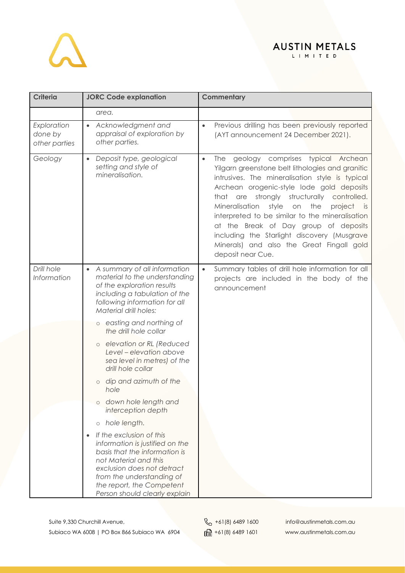# $\Delta$

## AUSTIN METALS

| <b>Criteria</b>                         | <b>JORC Code explanation</b>                                                                                                                                                                                                                                | <b>Commentary</b>                                                                                                                                                                                                                                                                                                                                                                                                                                                                                                                    |
|-----------------------------------------|-------------------------------------------------------------------------------------------------------------------------------------------------------------------------------------------------------------------------------------------------------------|--------------------------------------------------------------------------------------------------------------------------------------------------------------------------------------------------------------------------------------------------------------------------------------------------------------------------------------------------------------------------------------------------------------------------------------------------------------------------------------------------------------------------------------|
|                                         | area.                                                                                                                                                                                                                                                       |                                                                                                                                                                                                                                                                                                                                                                                                                                                                                                                                      |
| Exploration<br>done by<br>other parties | Acknowledgment and<br>$\bullet$<br>appraisal of exploration by<br>other parties.                                                                                                                                                                            | Previous drilling has been previously reported<br>$\bullet$<br>(AYT announcement 24 December 2021).                                                                                                                                                                                                                                                                                                                                                                                                                                  |
| Geology                                 | Deposit type, geological<br>$\bullet$<br>setting and style of<br>mineralisation.                                                                                                                                                                            | geology comprises typical Archean<br>The<br>$\bullet$<br>Yilgarn greenstone belt lithologies and granitic<br>intrusives. The mineralisation style is typical<br>Archean orogenic-style lode gold deposits<br>that are strongly structurally controlled.<br>Mineralisation<br>style<br>the<br>on<br>project<br><b>is</b><br>interpreted to be similar to the mineralisation<br>at the Break of Day group of deposits<br>including the Starlight discovery (Musgrave<br>Minerals) and also the Great Fingall gold<br>deposit near Cue. |
| Drill hole<br>Information               | A summary of all information<br>$\bullet$<br>material to the understanding<br>of the exploration results<br>including a tabulation of the<br>following information for all<br>Material drill holes:                                                         | Summary tables of drill hole information for all<br>$\bullet$<br>projects are included in the body of the<br>announcement                                                                                                                                                                                                                                                                                                                                                                                                            |
|                                         | o easting and northing of<br>the drill hole collar                                                                                                                                                                                                          |                                                                                                                                                                                                                                                                                                                                                                                                                                                                                                                                      |
|                                         | o elevation or RL (Reduced<br>Level - elevation above<br>sea level in metres) of the<br>drill hole collar                                                                                                                                                   |                                                                                                                                                                                                                                                                                                                                                                                                                                                                                                                                      |
|                                         | dip and azimuth of the<br>$\circ$<br>hole                                                                                                                                                                                                                   |                                                                                                                                                                                                                                                                                                                                                                                                                                                                                                                                      |
|                                         | down hole length and<br>interception depth                                                                                                                                                                                                                  |                                                                                                                                                                                                                                                                                                                                                                                                                                                                                                                                      |
|                                         | hole length.<br>$\bigcirc$                                                                                                                                                                                                                                  |                                                                                                                                                                                                                                                                                                                                                                                                                                                                                                                                      |
|                                         | If the exclusion of this<br>$\bullet$<br>information is justified on the<br>basis that the information is<br>not Material and this<br>exclusion does not detract<br>from the understanding of<br>the report, the Competent<br>Person should clearly explain |                                                                                                                                                                                                                                                                                                                                                                                                                                                                                                                                      |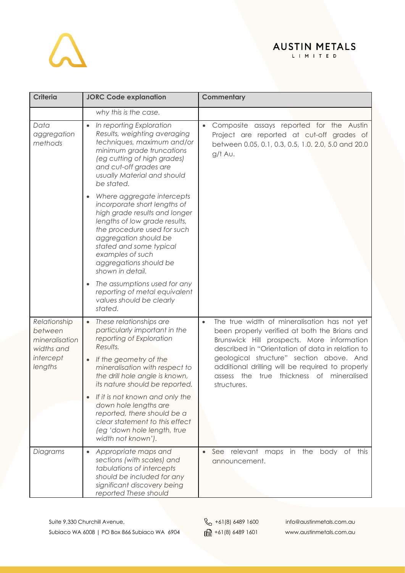

| <b>Criteria</b>                                                                 | <b>JORC Code explanation</b>                                                                                                                                                                                                                                                      | <b>Commentary</b>                                                                                                                                                                                                                                                                                                                                                       |
|---------------------------------------------------------------------------------|-----------------------------------------------------------------------------------------------------------------------------------------------------------------------------------------------------------------------------------------------------------------------------------|-------------------------------------------------------------------------------------------------------------------------------------------------------------------------------------------------------------------------------------------------------------------------------------------------------------------------------------------------------------------------|
|                                                                                 | why this is the case.                                                                                                                                                                                                                                                             |                                                                                                                                                                                                                                                                                                                                                                         |
| Data<br>aggregation<br>methods                                                  | In reporting Exploration<br>Results, weighting averaging<br>techniques, maximum and/or<br>minimum grade truncations<br>(eg cutting of high grades)<br>and cut-off grades are<br>usually Material and should<br>be stated.                                                         | Composite assays reported for the Austin<br>$\bullet$<br>Project are reported at cut-off grades of<br>between 0.05, 0.1, 0.3, 0.5, 1.0. 2.0, 5.0 and 20.0<br>$g/t$ Au.                                                                                                                                                                                                  |
|                                                                                 | Where aggregate intercepts<br>incorporate short lengths of<br>high grade results and longer<br>lengths of low grade results,<br>the procedure used for such<br>aggregation should be<br>stated and some typical<br>examples of such<br>aggregations should be<br>shown in detail. |                                                                                                                                                                                                                                                                                                                                                                         |
|                                                                                 | The assumptions used for any<br>reporting of metal equivalent<br>values should be clearly<br>stated.                                                                                                                                                                              |                                                                                                                                                                                                                                                                                                                                                                         |
| Relationship<br>between<br>mineralisation<br>widths and<br>intercept<br>lengths | These relationships are<br>$\bullet$<br>particularly important in the<br>reporting of Exploration<br>Results.<br>If the geometry of the<br>$\bullet$<br>mineralisation with respect to<br>the drill hole angle is known,<br>its nature should be reported.                        | The true width of mineralisation has not yet<br>$\bullet$<br>been properly verified at both the Brians and<br>Brunswick Hill prospects. More information<br>described in "Orientation of data in relation to<br>geological structure" section above. And<br>additional drilling will be required to properly<br>assess the true thickness of mineralised<br>structures. |
|                                                                                 | If it is not known and only the<br>down hole lengths are<br>reported, there should be a<br>clear statement to this effect<br>(eg 'down hole length, true<br>width not known').                                                                                                    |                                                                                                                                                                                                                                                                                                                                                                         |
| Diagrams                                                                        | Appropriate maps and<br>$\bullet$<br>sections (with scales) and<br>tabulations of intercepts<br>should be included for any<br>significant discovery being<br>reported These should                                                                                                | See relevant<br>maps in the<br>body of<br>this<br>announcement.                                                                                                                                                                                                                                                                                                         |